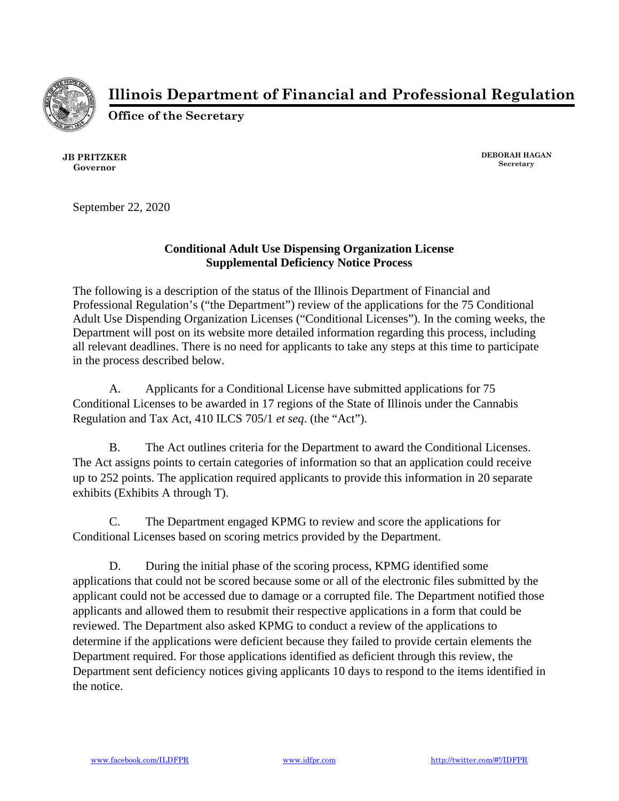

**Illinois Department of Financial and Professional Regulation**

**Office of the Secretary**

**JB PRITZKER Governor**

**DEBORAH HAGAN Secretary**

September 22, 2020

## **Conditional Adult Use Dispensing Organization License Supplemental Deficiency Notice Process**

The following is a description of the status of the Illinois Department of Financial and Professional Regulation's ("the Department") review of the applications for the 75 Conditional Adult Use Dispending Organization Licenses ("Conditional Licenses"). In the coming weeks, the Department will post on its website more detailed information regarding this process, including all relevant deadlines. There is no need for applicants to take any steps at this time to participate in the process described below.

A. Applicants for a Conditional License have submitted applications for 75 Conditional Licenses to be awarded in 17 regions of the State of Illinois under the Cannabis Regulation and Tax Act, 410 ILCS 705/1 *et seq*. (the "Act").

B. The Act outlines criteria for the Department to award the Conditional Licenses. The Act assigns points to certain categories of information so that an application could receive up to 252 points. The application required applicants to provide this information in 20 separate exhibits (Exhibits A through T).

C. The Department engaged KPMG to review and score the applications for Conditional Licenses based on scoring metrics provided by the Department.

D. During the initial phase of the scoring process, KPMG identified some applications that could not be scored because some or all of the electronic files submitted by the applicant could not be accessed due to damage or a corrupted file. The Department notified those applicants and allowed them to resubmit their respective applications in a form that could be reviewed. The Department also asked KPMG to conduct a review of the applications to determine if the applications were deficient because they failed to provide certain elements the Department required. For those applications identified as deficient through this review, the Department sent deficiency notices giving applicants 10 days to respond to the items identified in the notice.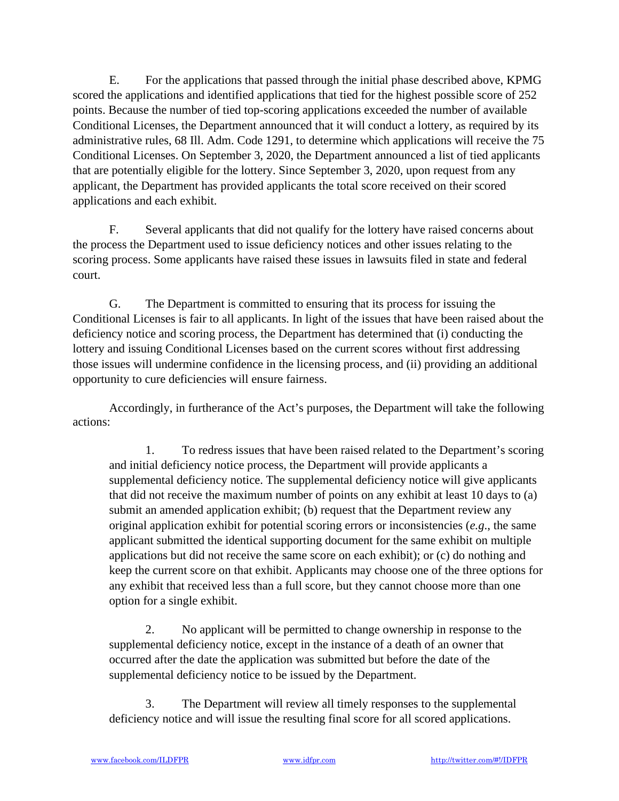E. For the applications that passed through the initial phase described above, KPMG scored the applications and identified applications that tied for the highest possible score of 252 points. Because the number of tied top-scoring applications exceeded the number of available Conditional Licenses, the Department announced that it will conduct a lottery, as required by its administrative rules, 68 Ill. Adm. Code 1291, to determine which applications will receive the 75 Conditional Licenses. On September 3, 2020, the Department announced a list of tied applicants that are potentially eligible for the lottery. Since September 3, 2020, upon request from any applicant, the Department has provided applicants the total score received on their scored applications and each exhibit.

F. Several applicants that did not qualify for the lottery have raised concerns about the process the Department used to issue deficiency notices and other issues relating to the scoring process. Some applicants have raised these issues in lawsuits filed in state and federal court.

G. The Department is committed to ensuring that its process for issuing the Conditional Licenses is fair to all applicants. In light of the issues that have been raised about the deficiency notice and scoring process, the Department has determined that (i) conducting the lottery and issuing Conditional Licenses based on the current scores without first addressing those issues will undermine confidence in the licensing process, and (ii) providing an additional opportunity to cure deficiencies will ensure fairness.

Accordingly, in furtherance of the Act's purposes, the Department will take the following actions:

1. To redress issues that have been raised related to the Department's scoring and initial deficiency notice process, the Department will provide applicants a supplemental deficiency notice. The supplemental deficiency notice will give applicants that did not receive the maximum number of points on any exhibit at least 10 days to (a) submit an amended application exhibit; (b) request that the Department review any original application exhibit for potential scoring errors or inconsistencies (*e.g*., the same applicant submitted the identical supporting document for the same exhibit on multiple applications but did not receive the same score on each exhibit); or (c) do nothing and keep the current score on that exhibit. Applicants may choose one of the three options for any exhibit that received less than a full score, but they cannot choose more than one option for a single exhibit.

2. No applicant will be permitted to change ownership in response to the supplemental deficiency notice, except in the instance of a death of an owner that occurred after the date the application was submitted but before the date of the supplemental deficiency notice to be issued by the Department.

3. The Department will review all timely responses to the supplemental deficiency notice and will issue the resulting final score for all scored applications.